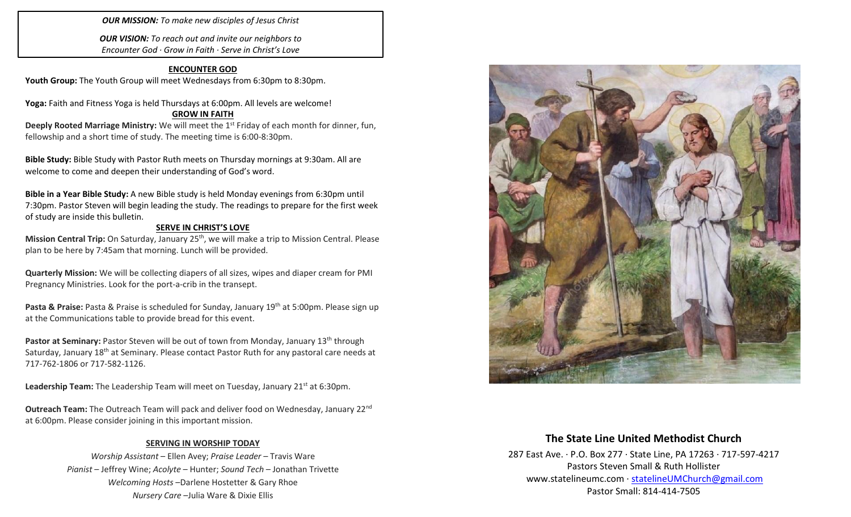#### *OUR MISSION: To make new disciples of Jesus Christ*

*OUR VISION: To reach out and invite our neighbors to Encounter God · Grow in Faith · Serve in Christ's Love*

### **ENCOUNTER GOD**

Youth Group: The Youth Group will meet Wednesdays from 6:30pm to 8:30pm.

**Yoga:** Faith and Fitness Yoga is held Thursdays at 6:00pm. All levels are welcome!

#### **GROW IN FAITH**

**Deeply Rooted Marriage Ministry:** We will meet the 1<sup>st</sup> Friday of each month for dinner, fun, fellowship and a short time of study. The meeting time is 6:00-8:30pm.

**Bible Study:** Bible Study with Pastor Ruth meets on Thursday mornings at 9:30am. All are welcome to come and deepen their understanding of God's word.

**Bible in a Year Bible Study:** A new Bible study is held Monday evenings from 6:30pm until 7:30pm. Pastor Steven will begin leading the study. The readings to prepare for the first week of study are inside this bulletin.

#### **SERVE IN CHRIST'S LOVE**

**Mission Central Trip:** On Saturday, January 25th, we will make a trip to Mission Central. Please plan to be here by 7:45am that morning. Lunch will be provided.

**Quarterly Mission:** We will be collecting diapers of all sizes, wipes and diaper cream for PMI Pregnancy Ministries. Look for the port-a-crib in the transept.

**Pasta & Praise:** Pasta & Praise is scheduled for Sunday, January 19th at 5:00pm. Please sign up at the Communications table to provide bread for this event.

Pastor at Seminary: Pastor Steven will be out of town from Monday, January 13<sup>th</sup> through Saturday, January 18<sup>th</sup> at Seminary. Please contact Pastor Ruth for any pastoral care needs at 717-762-1806 or 717-582-1126.

**Leadership Team:** The Leadership Team will meet on Tuesday, January 21<sup>st</sup> at 6:30pm.

**Outreach Team:** The Outreach Team will pack and deliver food on Wednesday, January 22nd at 6:00pm. Please consider joining in this important mission.

#### **SERVING IN WORSHIP TODAY**

*Worship Assistant* – Ellen Avey; *Praise Leader* – Travis Ware *Pianist* – Jeffrey Wine; *Acolyte* – Hunter; *Sound Tech* – Jonathan Trivette *Welcoming Hosts* –Darlene Hostetter & Gary Rhoe *Nursery Care* –Julia Ware & Dixie Ellis



# **The State Line United Methodist Church**

287 East Ave. · P.O. Box 277 · State Line, PA 17263 · 717-597-4217 Pastors Steven Small & Ruth Hollister [www.statelineumc.com](http://www.statelineumc.com/) · [statelineUMChurch@gmail.com](mailto:statelineUMChurch@gmail.com) Pastor Small: 814-414-7505